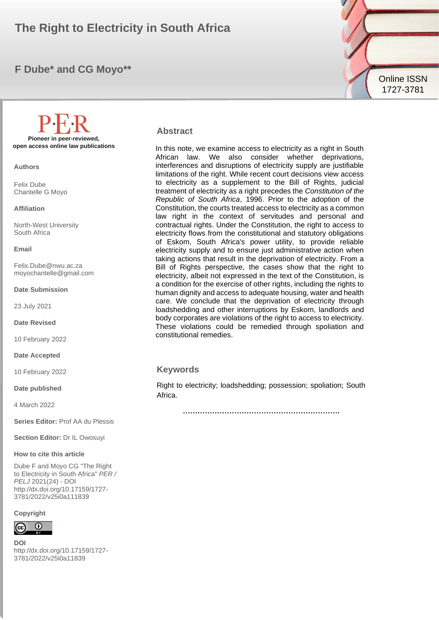# The Right to Electricity in South Africa**n and South Africal Contract Contract Contract Contract Contract Contract Contract Contract Contract Contract Contract Contract Contract Contract Contract Contract Contract Contract**

## **F Dube\* and CG Moyo\*\***



**Authors**

Felix Dube Chantelle G Moyo

#### **Affiliation**

North-West University South Africa

#### **Email**

Felix.Dube@nwu.ac.za moyochantelle@gmail.com

**Date Submission**

23 July 2021

**Date Revised**

10 February 2022

**Date Accepted**

10 February 2022

**Date published**

4 March 2022

**Series Editor:** Prof AA du Plessis

**Section Editor:** Dr IL Owosuyi

#### **How to cite this article**

Dube F and Moyo CG "The Right to Electricity in South Africa" *PER / PELJ* 2021(24) - DOI http://dx.doi.org/10.17159/1727- 3781/2022/v25i0a111839

**Copyright**



**DOI**  http://dx.doi.org/10.17159/1727- 3781/2022/v25i0a11839



In this note, we examine access to electricity as a right in South African law. We also consider whether deprivations, interferences and disruptions of electricity supply are justifiable limitations of the right. While recent court decisions view access to electricity as a supplement to the Bill of Rights, judicial treatment of electricity as a right precedes the *Constitution of the Republic of South Africa*, 1996. Prior to the adoption of the Constitution, the courts treated access to electricity as a common law right in the context of servitudes and personal and contractual rights. Under the Constitution, the right to access to electricity flows from the constitutional and statutory obligations of Eskom, South Africa's power utility, to provide reliable electricity supply and to ensure just administrative action when taking actions that result in the deprivation of electricity. From a Bill of Rights perspective, the cases show that the right to electricity, albeit not expressed in the text of the Constitution, is a condition for the exercise of other rights, including the rights to human dignity and access to adequate housing, water and health care. We conclude that the deprivation of electricity through loadshedding and other interruptions by Eskom, landlords and body corporates are violations of the right to access to electricity. These violations could be remedied through spoliation and constitutional remedies.

### **Keywords**

Right to electricity; loadshedding; possession; spoliation; South Africa.

**……………………………………………………….**

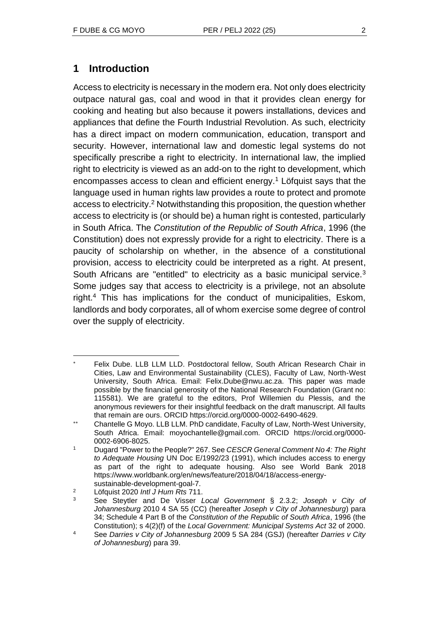# **1 Introduction**

Access to electricity is necessary in the modern era. Not only does electricity outpace natural gas, coal and wood in that it provides clean energy for cooking and heating but also because it powers installations, devices and appliances that define the Fourth Industrial Revolution. As such, electricity has a direct impact on modern communication, education, transport and security. However, international law and domestic legal systems do not specifically prescribe a right to electricity. In international law, the implied right to electricity is viewed as an add-on to the right to development, which encompasses access to clean and efficient energy.<sup>1</sup> Löfquist says that the language used in human rights law provides a route to protect and promote access to electricity.<sup>2</sup> Notwithstanding this proposition, the question whether access to electricity is (or should be) a human right is contested, particularly in South Africa. The *Constitution of the Republic of South Africa*, 1996 (the Constitution) does not expressly provide for a right to electricity. There is a paucity of scholarship on whether, in the absence of a constitutional provision, access to electricity could be interpreted as a right. At present, South Africans are "entitled" to electricity as a basic municipal service.<sup>3</sup> Some judges say that access to electricity is a privilege, not an absolute right.<sup>4</sup> This has implications for the conduct of municipalities, Eskom, landlords and body corporates, all of whom exercise some degree of control over the supply of electricity.

Felix Dube. LLB LLM LLD. Postdoctoral fellow, South African Research Chair in Cities, Law and Environmental Sustainability (CLES), Faculty of Law, North-West University, South Africa. Email: Felix.Dube@nwu.ac.za. This paper was made possible by the financial generosity of the National Research Foundation (Grant no: 115581). We are grateful to the editors, Prof Willemien du Plessis, and the anonymous reviewers for their insightful feedback on the draft manuscript. All faults that remain are ours. ORCID https://orcid.org/0000-0002-6490-4629.

Chantelle G Moyo. LLB LLM. PhD candidate, Faculty of Law, North-West University, South Africa. Email: moyochantelle@gmail.com. ORCID https://orcid.org/0000- 0002-6906-8025.

<sup>1</sup> Dugard "Power to the People?" 267. See *CESCR General Comment No 4: The Right to Adequate Housing* UN Doc E/1992/23 (1991), which includes access to energy as part of the right to adequate housing. Also see World Bank 2018 https://www.worldbank.org/en/news/feature/2018/04/18/access-energysustainable-development-goal-7.

<sup>2</sup> Löfquist 2020 *Intl J Hum Rts* 711.

<sup>3</sup> See Steytler and De Visser *Local Government* § 2.3.2; *Joseph v City of Johannesburg* 2010 4 SA 55 (CC) (hereafter *Joseph v City of Johannesburg*) para 34; Schedule 4 Part B of the *Constitution of the Republic of South Africa*, 1996 (the Constitution); s 4(2)(f) of the *Local Government: Municipal Systems Act* 32 of 2000.

<sup>4</sup> See *Darries v City of Johannesburg* 2009 5 SA 284 (GSJ) (hereafter *Darries v City of Johannesburg*) para 39.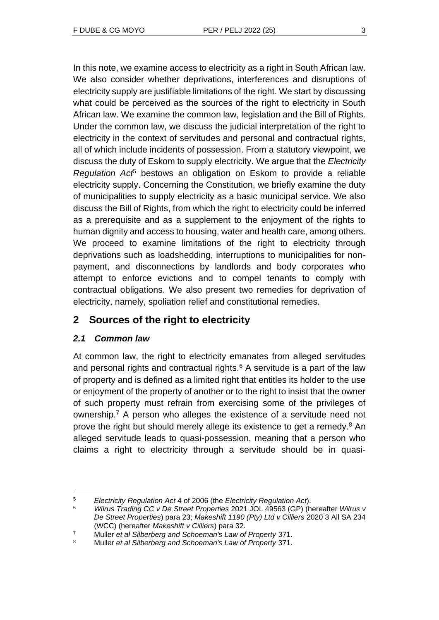In this note, we examine access to electricity as a right in South African law. We also consider whether deprivations, interferences and disruptions of electricity supply are justifiable limitations of the right. We start by discussing what could be perceived as the sources of the right to electricity in South African law. We examine the common law, legislation and the Bill of Rights. Under the common law, we discuss the judicial interpretation of the right to electricity in the context of servitudes and personal and contractual rights, all of which include incidents of possession. From a statutory viewpoint, we discuss the duty of Eskom to supply electricity. We argue that the *Electricity Regulation Act*<sup>5</sup> bestows an obligation on Eskom to provide a reliable electricity supply. Concerning the Constitution, we briefly examine the duty of municipalities to supply electricity as a basic municipal service. We also discuss the Bill of Rights, from which the right to electricity could be inferred as a prerequisite and as a supplement to the enjoyment of the rights to human dignity and access to housing, water and health care, among others. We proceed to examine limitations of the right to electricity through deprivations such as loadshedding, interruptions to municipalities for nonpayment, and disconnections by landlords and body corporates who attempt to enforce evictions and to compel tenants to comply with contractual obligations. We also present two remedies for deprivation of electricity, namely, spoliation relief and constitutional remedies.

# **2 Sources of the right to electricity**

### *2.1 Common law*

At common law, the right to electricity emanates from alleged servitudes and personal rights and contractual rights. $6$  A servitude is a part of the law of property and is defined as a limited right that entitles its holder to the use or enjoyment of the property of another or to the right to insist that the owner of such property must refrain from exercising some of the privileges of ownership.<sup>7</sup> A person who alleges the existence of a servitude need not prove the right but should merely allege its existence to get a remedy.<sup>8</sup> An alleged servitude leads to quasi-possession, meaning that a person who claims a right to electricity through a servitude should be in quasi-

<sup>5</sup> *Electricity Regulation Act* 4 of 2006 (the *Electricity Regulation Act*).

<sup>6</sup> *Wilrus Trading CC v De Street Properties* 2021 JOL 49563 (GP) (hereafter *Wilrus v De Street Properties*) para 23; *Makeshift 1190 (Pty) Ltd v Cilliers* 2020 3 All SA 234 (WCC) (hereafter *Makeshift v Cilliers*) para 32.

<sup>7</sup> Muller *et al Silberberg and Schoeman's Law of Property* 371.

<sup>8</sup> Muller *et al Silberberg and Schoeman's Law of Property* 371.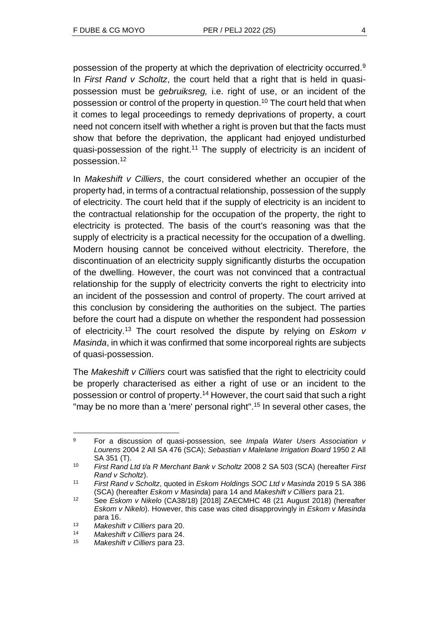possession of the property at which the deprivation of electricity occurred.<sup>9</sup> In *First Rand v Scholtz*, the court held that a right that is held in quasipossession must be *gebruiksreg,* i.e. right of use, or an incident of the possession or control of the property in question.<sup>10</sup> The court held that when it comes to legal proceedings to remedy deprivations of property, a court need not concern itself with whether a right is proven but that the facts must show that before the deprivation, the applicant had enjoyed undisturbed quasi-possession of the right.<sup>11</sup> The supply of electricity is an incident of possession.<sup>12</sup>

In *Makeshift v Cilliers*, the court considered whether an occupier of the property had, in terms of a contractual relationship, possession of the supply of electricity. The court held that if the supply of electricity is an incident to the contractual relationship for the occupation of the property, the right to electricity is protected. The basis of the court's reasoning was that the supply of electricity is a practical necessity for the occupation of a dwelling. Modern housing cannot be conceived without electricity. Therefore, the discontinuation of an electricity supply significantly disturbs the occupation of the dwelling. However, the court was not convinced that a contractual relationship for the supply of electricity converts the right to electricity into an incident of the possession and control of property. The court arrived at this conclusion by considering the authorities on the subject. The parties before the court had a dispute on whether the respondent had possession of electricity.<sup>13</sup> The court resolved the dispute by relying on *Eskom v Masinda*, in which it was confirmed that some incorporeal rights are subjects of quasi-possession.

The *Makeshift v Cilliers* court was satisfied that the right to electricity could be properly characterised as either a right of use or an incident to the possession or control of property.<sup>14</sup> However, the court said that such a right "may be no more than a 'mere' personal right".<sup>15</sup> In several other cases, the

<sup>9</sup> For a discussion of quasi-possession, see *Impala Water Users Association v Lourens* 2004 2 All SA 476 (SCA); *Sebastian v Malelane Irrigation Board* 1950 2 All SA 351 (T).

<sup>10</sup> *First Rand Ltd t/a R Merchant Bank v Scholtz* 2008 2 SA 503 (SCA) (hereafter *First Rand v Scholtz*).

<sup>11</sup> *First Rand v Scholtz*, quoted in *Eskom Holdings SOC Ltd v Masinda* 2019 5 SA 386 (SCA) (hereafter *Eskom v Masinda*) para 14 and *Makeshift v Cilliers* para 21.

<sup>12</sup> See *Eskom v Nikelo* (CA38/18) [2018] ZAECMHC 48 (21 August 2018) (hereafter *Eskom v Nikelo*). However, this case was cited disapprovingly in *Eskom v Masinda* para 16.

<sup>13</sup> *Makeshift v Cilliers* para 20.

<sup>14</sup> *Makeshift v Cilliers* para 24.

<sup>15</sup> *Makeshift v Cilliers* para 23.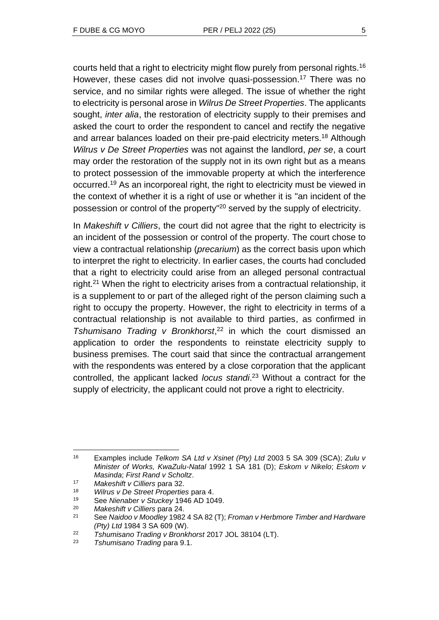courts held that a right to electricity might flow purely from personal rights.<sup>16</sup> However, these cases did not involve quasi-possession.<sup>17</sup> There was no service, and no similar rights were alleged. The issue of whether the right to electricity is personal arose in *Wilrus De Street Properties*. The applicants sought, *inter alia*, the restoration of electricity supply to their premises and asked the court to order the respondent to cancel and rectify the negative and arrear balances loaded on their pre-paid electricity meters.<sup>18</sup> Although *Wilrus v De Street Properties* was not against the landlord, *per se*, a court may order the restoration of the supply not in its own right but as a means to protect possession of the immovable property at which the interference occurred.<sup>19</sup> As an incorporeal right, the right to electricity must be viewed in the context of whether it is a right of use or whether it is "an incident of the possession or control of the property"<sup>20</sup> served by the supply of electricity.

In *Makeshift v Cilliers*, the court did not agree that the right to electricity is an incident of the possession or control of the property. The court chose to view a contractual relationship (*precarium*) as the correct basis upon which to interpret the right to electricity. In earlier cases, the courts had concluded that a right to electricity could arise from an alleged personal contractual right.<sup>21</sup> When the right to electricity arises from a contractual relationship, it is a supplement to or part of the alleged right of the person claiming such a right to occupy the property. However, the right to electricity in terms of a contractual relationship is not available to third parties, as confirmed in *Tshumisano Trading v Bronkhorst*, <sup>22</sup> in which the court dismissed an application to order the respondents to reinstate electricity supply to business premises. The court said that since the contractual arrangement with the respondents was entered by a close corporation that the applicant controlled, the applicant lacked *locus standi*. <sup>23</sup> Without a contract for the supply of electricity, the applicant could not prove a right to electricity.

<sup>16</sup> Examples include *Telkom SA Ltd v Xsinet (Pty) Ltd* 2003 5 SA 309 (SCA); *Zulu v Minister of Works, KwaZulu-Natal* 1992 1 SA 181 (D); *Eskom v Nikelo*; *Eskom v Masinda*; *First Rand v Scholtz*.

<sup>17</sup> *Makeshift v Cilliers* para 32.

<sup>18</sup> *Wilrus v De Street Properties* para 4.

<sup>19</sup> See *Nienaber v Stuckey* 1946 AD 1049.

<sup>20</sup> *Makeshift v Cilliers* para 24.

<sup>21</sup> See *Naidoo v Moodley* 1982 4 SA 82 (T); *Froman v Herbmore Timber and Hardware (Pty) Ltd* 1984 3 SA 609 (W).

<sup>22</sup> *Tshumisano Trading v Bronkhorst* 2017 JOL 38104 (LT).

<sup>23</sup> *Tshumisano Trading* para 9.1.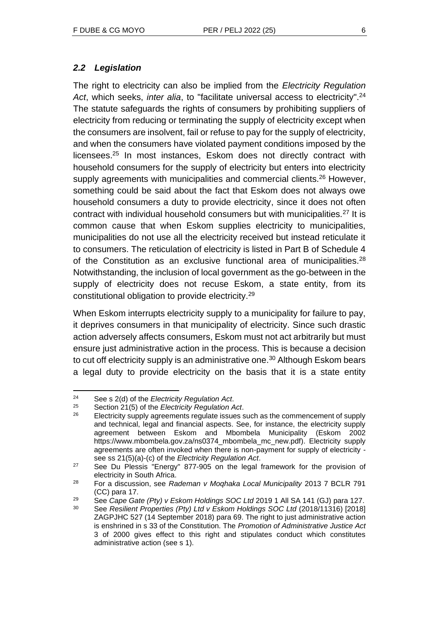### *2.2 Legislation*

The right to electricity can also be implied from the *Electricity Regulation Act*, which seeks, *inter alia*, to "facilitate universal access to electricity". 24 The statute safeguards the rights of consumers by prohibiting suppliers of electricity from reducing or terminating the supply of electricity except when the consumers are insolvent, fail or refuse to pay for the supply of electricity, and when the consumers have violated payment conditions imposed by the licensees.<sup>25</sup> In most instances, Eskom does not directly contract with household consumers for the supply of electricity but enters into electricity supply agreements with municipalities and commercial clients.<sup>26</sup> However, something could be said about the fact that Eskom does not always owe household consumers a duty to provide electricity, since it does not often contract with individual household consumers but with municipalities.<sup>27</sup> It is common cause that when Eskom supplies electricity to municipalities, municipalities do not use all the electricity received but instead reticulate it to consumers. The reticulation of electricity is listed in Part B of Schedule 4 of the Constitution as an exclusive functional area of municipalities.<sup>28</sup> Notwithstanding, the inclusion of local government as the go-between in the supply of electricity does not recuse Eskom, a state entity, from its constitutional obligation to provide electricity.<sup>29</sup>

When Eskom interrupts electricity supply to a municipality for failure to pay, it deprives consumers in that municipality of electricity. Since such drastic action adversely affects consumers, Eskom must not act arbitrarily but must ensure just administrative action in the process. This is because a decision to cut off electricity supply is an administrative one.<sup>30</sup> Although Eskom bears a legal duty to provide electricity on the basis that it is a state entity

<sup>24</sup> See s 2(d) of the *Electricity Regulation Act*.

<sup>25</sup> Section 21(5) of the *Electricity Regulation Act*.

Electricity supply agreements regulate issues such as the commencement of supply and technical, legal and financial aspects. See, for instance, the electricity supply agreement between Eskom and Mbombela Municipality (Eskom 2002 https://www.mbombela.gov.za/ns0374\_mbombela\_mc\_new.pdf). Electricity supply agreements are often invoked when there is non-payment for supply of electricity see ss 21(5)(a)-(c) of the *Electricity Regulation Act*.

 $27$  See Du Plessis "Energy" 877-905 on the legal framework for the provision of electricity in South Africa.

<sup>28</sup> For a discussion, see *Rademan v Moqhaka Local Municipality* 2013 7 BCLR 791 (CC) para 17.

<sup>29</sup> See *Cape Gate (Pty) v Eskom Holdings SOC Ltd* 2019 1 All SA 141 (GJ) para 127.

<sup>30</sup> See *Resilient Properties (Pty) Ltd v Eskom Holdings SOC Ltd* (2018/11316) [2018] ZAGPJHC 527 (14 September 2018) para 69. The right to just administrative action is enshrined in s 33 of the Constitution. The *Promotion of Administrative Justice Act* 3 of 2000 gives effect to this right and stipulates conduct which constitutes administrative action (see s 1).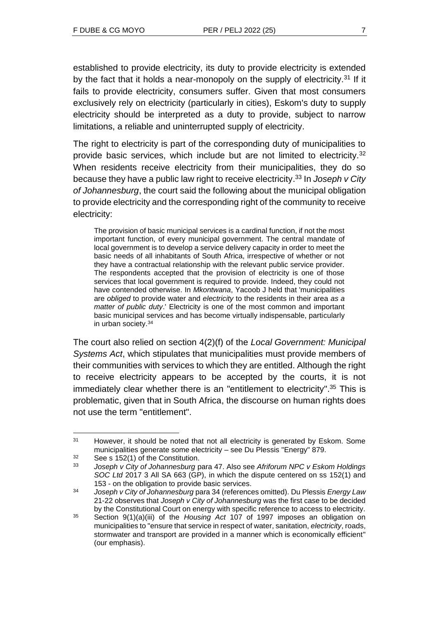established to provide electricity, its duty to provide electricity is extended by the fact that it holds a near-monopoly on the supply of electricity.<sup>31</sup> If it fails to provide electricity, consumers suffer. Given that most consumers exclusively rely on electricity (particularly in cities), Eskom's duty to supply electricity should be interpreted as a duty to provide, subject to narrow limitations, a reliable and uninterrupted supply of electricity.

The right to electricity is part of the corresponding duty of municipalities to provide basic services, which include but are not limited to electricity.<sup>32</sup> When residents receive electricity from their municipalities, they do so because they have a public law right to receive electricity. <sup>33</sup> In *Joseph v City of Johannesburg*, the court said the following about the municipal obligation to provide electricity and the corresponding right of the community to receive electricity:

The provision of basic municipal services is a cardinal function, if not the most important function, of every municipal government. The central mandate of local government is to develop a service delivery capacity in order to meet the basic needs of all inhabitants of South Africa, irrespective of whether or not they have a contractual relationship with the relevant public service provider. The respondents accepted that the provision of electricity is one of those services that local government is required to provide. Indeed, they could not have contended otherwise. In *Mkontwana*, Yacoob J held that 'municipalities are *obliged* to provide water and *electricity* to the residents in their area *as a matter of public duty*.' Electricity is one of the most common and important basic municipal services and has become virtually indispensable, particularly in urban society.<sup>34</sup>

The court also relied on section 4(2)(f) of the *Local Government: Municipal Systems Act*, which stipulates that municipalities must provide members of their communities with services to which they are entitled. Although the right to receive electricity appears to be accepted by the courts, it is not immediately clear whether there is an "entitlement to electricity".<sup>35</sup> This is problematic, given that in South Africa, the discourse on human rights does not use the term "entitlement".

<sup>&</sup>lt;sup>31</sup> However, it should be noted that not all electricity is generated by Eskom. Some municipalities generate some electricity – see Du Plessis "Energy" 879.

 $32$  See s 152(1) of the Constitution.

<sup>33</sup> *Joseph v City of Johannesburg* para 47. Also see *Afriforum NPC v Eskom Holdings SOC Ltd* 2017 3 All SA 663 (GP), in which the dispute centered on ss 152(1) and 153 - on the obligation to provide basic services.

<sup>34</sup> *Joseph v City of Johannesburg* para 34 (references omitted). Du Plessis *Energy Law*  21-22 observes that *Joseph v City of Johannesburg* was the first case to be decided by the Constitutional Court on energy with specific reference to access to electricity.

<sup>35</sup> Section 9(1)(a)(iii) of the *Housing Act* 107 of 1997 imposes an obligation on municipalities to "ensure that service in respect of water, sanitation, *electricity*, roads, stormwater and transport are provided in a manner which is economically efficient" (our emphasis).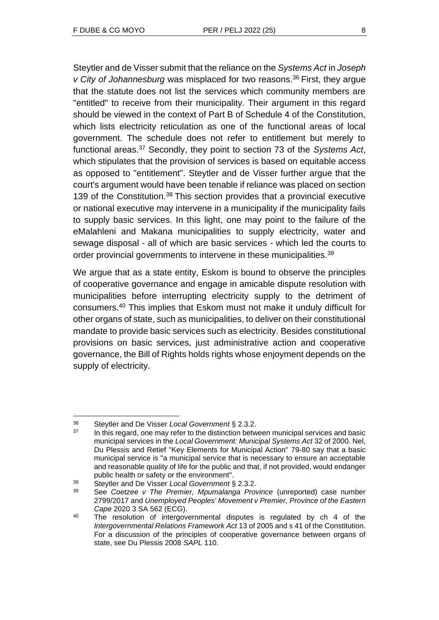Steytler and de Visser submit that the reliance on the *Systems Act* in *Joseph v City of Johannesburg* was misplaced for two reasons.<sup>36</sup> First, they argue that the statute does not list the services which community members are "entitled" to receive from their municipality. Their argument in this regard should be viewed in the context of Part B of Schedule 4 of the Constitution, which lists electricity reticulation as one of the functional areas of local government. The schedule does not refer to entitlement but merely to functional areas.<sup>37</sup> Secondly, they point to section 73 of the *Systems Act*, which stipulates that the provision of services is based on equitable access as opposed to "entitlement". Steytler and de Visser further argue that the court's argument would have been tenable if reliance was placed on section 139 of the Constitution.<sup>38</sup> This section provides that a provincial executive or national executive may intervene in a municipality if the municipality fails to supply basic services. In this light, one may point to the failure of the eMalahleni and Makana municipalities to supply electricity, water and sewage disposal - all of which are basic services - which led the courts to order provincial governments to intervene in these municipalities.<sup>39</sup>

We argue that as a state entity, Eskom is bound to observe the principles of cooperative governance and engage in amicable dispute resolution with municipalities before interrupting electricity supply to the detriment of consumers.<sup>40</sup> This implies that Eskom must not make it unduly difficult for other organs of state, such as municipalities, to deliver on their constitutional mandate to provide basic services such as electricity. Besides constitutional provisions on basic services, just administrative action and cooperative governance, the Bill of Rights holds rights whose enjoyment depends on the supply of electricity.

<sup>36</sup> Steytler and De Visser *Local Government* § 2.3.2.

In this regard, one may refer to the distinction between municipal services and basic municipal services in the *Local Government: Municipal Systems Act* 32 of 2000. Nel, Du Plessis and Retief "Key Elements for Municipal Action" 79-80 say that a basic municipal service is "a municipal service that is necessary to ensure an acceptable and reasonable quality of life for the public and that, if not provided, would endanger public health or safety or the environment".

<sup>38</sup> Steytler and De Visser *Local Government* § 2.3.2.

<sup>39</sup> See *Coetzee v The Premier, Mpumalanga Province* (unreported) case number 2799/2017 and *Unemployed Peoples' Movement v Premier, Province of the Eastern Cape* 2020 3 SA 562 (ECG).

<sup>&</sup>lt;sup>40</sup> The resolution of intergovernmental disputes is regulated by ch 4 of the *Intergovernmental Relations Framework Act* 13 of 2005 and s 41 of the Constitution. For a discussion of the principles of cooperative governance between organs of state, see Du Plessis 2008 *SAPL* 110.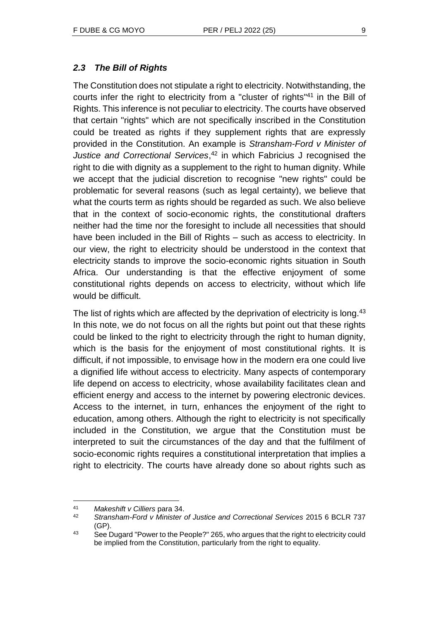### *2.3 The Bill of Rights*

The Constitution does not stipulate a right to electricity. Notwithstanding, the courts infer the right to electricity from a "cluster of rights" <sup>41</sup> in the Bill of Rights. This inference is not peculiar to electricity. The courts have observed that certain "rights" which are not specifically inscribed in the Constitution could be treated as rights if they supplement rights that are expressly provided in the Constitution. An example is *Stransham-Ford v Minister of Justice and Correctional Services*, <sup>42</sup> in which Fabricius J recognised the right to die with dignity as a supplement to the right to human dignity. While we accept that the judicial discretion to recognise "new rights" could be problematic for several reasons (such as legal certainty), we believe that what the courts term as rights should be regarded as such. We also believe that in the context of socio-economic rights, the constitutional drafters neither had the time nor the foresight to include all necessities that should have been included in the Bill of Rights – such as access to electricity. In our view, the right to electricity should be understood in the context that electricity stands to improve the socio-economic rights situation in South Africa. Our understanding is that the effective enjoyment of some constitutional rights depends on access to electricity, without which life would be difficult.

The list of rights which are affected by the deprivation of electricity is long.<sup>43</sup> In this note, we do not focus on all the rights but point out that these rights could be linked to the right to electricity through the right to human dignity, which is the basis for the enjoyment of most constitutional rights. It is difficult, if not impossible, to envisage how in the modern era one could live a dignified life without access to electricity. Many aspects of contemporary life depend on access to electricity, whose availability facilitates clean and efficient energy and access to the internet by powering electronic devices. Access to the internet, in turn, enhances the enjoyment of the right to education, among others. Although the right to electricity is not specifically included in the Constitution, we argue that the Constitution must be interpreted to suit the circumstances of the day and that the fulfilment of socio-economic rights requires a constitutional interpretation that implies a right to electricity. The courts have already done so about rights such as

<sup>41</sup> *Makeshift v Cilliers* para 34.

<sup>42</sup> *Stransham-Ford v Minister of Justice and Correctional Services* 2015 6 BCLR 737 (GP).

<sup>43</sup> See Dugard "Power to the People?" 265, who argues that the right to electricity could be implied from the Constitution, particularly from the right to equality.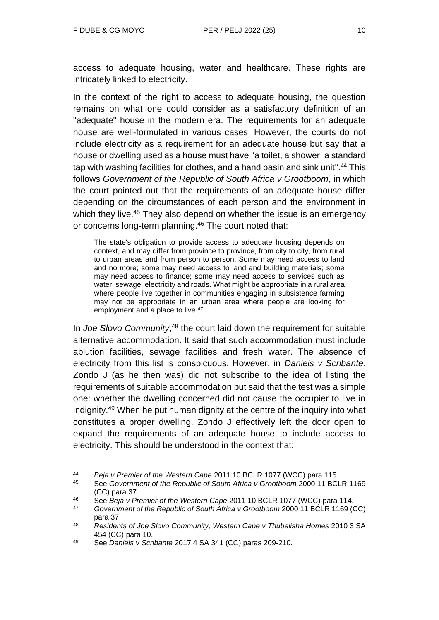access to adequate housing, water and healthcare. These rights are intricately linked to electricity.

In the context of the right to access to adequate housing, the question remains on what one could consider as a satisfactory definition of an "adequate" house in the modern era. The requirements for an adequate house are well-formulated in various cases. However, the courts do not include electricity as a requirement for an adequate house but say that a house or dwelling used as a house must have "a toilet, a shower, a standard tap with washing facilities for clothes, and a hand basin and sink unit". <sup>44</sup> This follows *Government of the Republic of South Africa v Grootboom*, in which the court pointed out that the requirements of an adequate house differ depending on the circumstances of each person and the environment in which they live.<sup>45</sup> They also depend on whether the issue is an emergency or concerns long-term planning.<sup>46</sup> The court noted that:

The state's obligation to provide access to adequate housing depends on context, and may differ from province to province, from city to city, from rural to urban areas and from person to person. Some may need access to land and no more; some may need access to land and building materials; some may need access to finance; some may need access to services such as water, sewage, electricity and roads. What might be appropriate in a rural area where people live together in communities engaging in subsistence farming may not be appropriate in an urban area where people are looking for employment and a place to live.<sup>47</sup>

In *Joe Slovo Community*, <sup>48</sup> the court laid down the requirement for suitable alternative accommodation. It said that such accommodation must include ablution facilities, sewage facilities and fresh water. The absence of electricity from this list is conspicuous. However, in *Daniels v Scribante*, Zondo J (as he then was) did not subscribe to the idea of listing the requirements of suitable accommodation but said that the test was a simple one: whether the dwelling concerned did not cause the occupier to live in indignity.<sup>49</sup> When he put human dignity at the centre of the inquiry into what constitutes a proper dwelling, Zondo J effectively left the door open to expand the requirements of an adequate house to include access to electricity. This should be understood in the context that:

<sup>44</sup> *Beja v Premier of the Western Cape* 2011 10 BCLR 1077 (WCC) para 115.

<sup>45</sup> See *Government of the Republic of South Africa v Grootboom* 2000 11 BCLR 1169 (CC) para 37.

<sup>46</sup> See *Beja v Premier of the Western Cape* 2011 10 BCLR 1077 (WCC) para 114.

<sup>47</sup> *Government of the Republic of South Africa v Grootboom* 2000 11 BCLR 1169 (CC) para 37.

<sup>48</sup> *Residents of Joe Slovo Community, Western Cape v Thubelisha Homes* 2010 3 SA 454 (CC) para 10.

<sup>49</sup> See *Daniels v Scribante* 2017 4 SA 341 (CC) paras 209-210.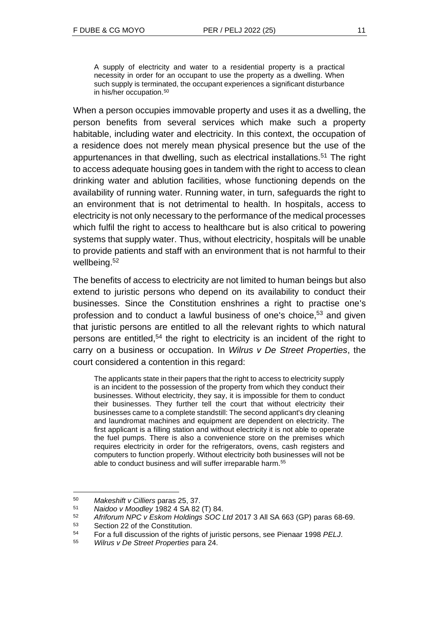A supply of electricity and water to a residential property is a practical necessity in order for an occupant to use the property as a dwelling. When such supply is terminated, the occupant experiences a significant disturbance in his/her occupation.<sup>50</sup>

When a person occupies immovable property and uses it as a dwelling, the person benefits from several services which make such a property habitable, including water and electricity. In this context, the occupation of a residence does not merely mean physical presence but the use of the appurtenances in that dwelling, such as electrical installations.<sup>51</sup> The right to access adequate housing goes in tandem with the right to access to clean drinking water and ablution facilities, whose functioning depends on the availability of running water. Running water, in turn, safeguards the right to an environment that is not detrimental to health. In hospitals, access to electricity is not only necessary to the performance of the medical processes which fulfil the right to access to healthcare but is also critical to powering systems that supply water. Thus, without electricity, hospitals will be unable to provide patients and staff with an environment that is not harmful to their wellbeing.<sup>52</sup>

The benefits of access to electricity are not limited to human beings but also extend to juristic persons who depend on its availability to conduct their businesses. Since the Constitution enshrines a right to practise one's profession and to conduct a lawful business of one's choice,<sup>53</sup> and given that juristic persons are entitled to all the relevant rights to which natural persons are entitled,<sup>54</sup> the right to electricity is an incident of the right to carry on a business or occupation. In *Wilrus v De Street Properties*, the court considered a contention in this regard:

The applicants state in their papers that the right to access to electricity supply is an incident to the possession of the property from which they conduct their businesses. Without electricity, they say, it is impossible for them to conduct their businesses. They further tell the court that without electricity their businesses came to a complete standstill: The second applicant's dry cleaning and laundromat machines and equipment are dependent on electricity. The first applicant is a filling station and without electricity it is not able to operate the fuel pumps. There is also a convenience store on the premises which requires electricity in order for the refrigerators, ovens, cash registers and computers to function properly. Without electricity both businesses will not be able to conduct business and will suffer irreparable harm.<sup>55</sup>

<sup>50</sup> *Makeshift v Cilliers* paras 25, 37.

<sup>51</sup> *Naidoo v Moodley* 1982 4 SA 82 (T) 84.

<sup>52</sup> *Afriforum NPC v Eskom Holdings SOC Ltd* 2017 3 All SA 663 (GP) paras 68-69.

<sup>53</sup> Section 22 of the Constitution.

<sup>54</sup> For a full discussion of the rights of juristic persons, see Pienaar 1998 *PELJ*.

<sup>55</sup> *Wilrus v De Street Properties* para 24.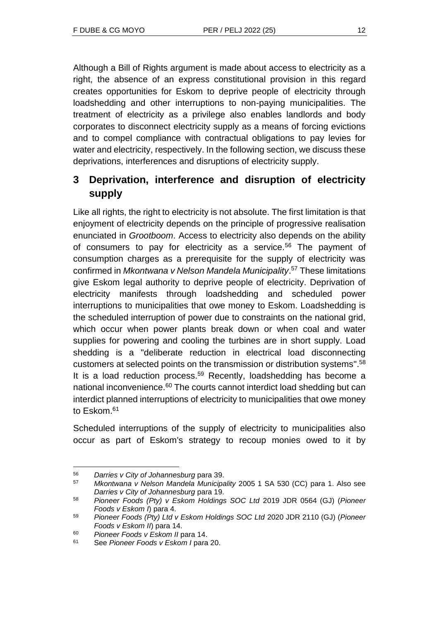Although a Bill of Rights argument is made about access to electricity as a right, the absence of an express constitutional provision in this regard creates opportunities for Eskom to deprive people of electricity through loadshedding and other interruptions to non-paying municipalities. The treatment of electricity as a privilege also enables landlords and body corporates to disconnect electricity supply as a means of forcing evictions and to compel compliance with contractual obligations to pay levies for water and electricity, respectively. In the following section, we discuss these deprivations, interferences and disruptions of electricity supply.

# **3 Deprivation, interference and disruption of electricity supply**

Like all rights, the right to electricity is not absolute. The first limitation is that enjoyment of electricity depends on the principle of progressive realisation enunciated in *Grootboom*. Access to electricity also depends on the ability of consumers to pay for electricity as a service.<sup>56</sup> The payment of consumption charges as a prerequisite for the supply of electricity was confirmed in *Mkontwana v Nelson Mandela Municipality*. <sup>57</sup> These limitations give Eskom legal authority to deprive people of electricity. Deprivation of electricity manifests through loadshedding and scheduled power interruptions to municipalities that owe money to Eskom. Loadshedding is the scheduled interruption of power due to constraints on the national grid, which occur when power plants break down or when coal and water supplies for powering and cooling the turbines are in short supply. Load shedding is a "deliberate reduction in electrical load disconnecting customers at selected points on the transmission or distribution systems". 58 It is a load reduction process.<sup>59</sup> Recently, loadshedding has become a national inconvenience.<sup>60</sup> The courts cannot interdict load shedding but can interdict planned interruptions of electricity to municipalities that owe money to Eskom.<sup>61</sup>

Scheduled interruptions of the supply of electricity to municipalities also occur as part of Eskom's strategy to recoup monies owed to it by

<sup>56</sup> *Darries v City of Johannesburg* para 39.

<sup>57</sup> *Mkontwana v Nelson Mandela Municipality* 2005 1 SA 530 (CC) para 1. Also see *Darries v City of Johannesburg* para 19.

<sup>58</sup> *Pioneer Foods (Pty) v Eskom Holdings SOC Ltd* 2019 JDR 0564 (GJ) (*Pioneer Foods v Eskom I*) para 4.

<sup>59</sup> *Pioneer Foods (Pty) Ltd v Eskom Holdings SOC Ltd* 2020 JDR 2110 (GJ) (*Pioneer Foods v Eskom II*) para 14.

<sup>60</sup> *Pioneer Foods v Eskom II* para 14.

<sup>61</sup> See *Pioneer Foods v Eskom I* para 20.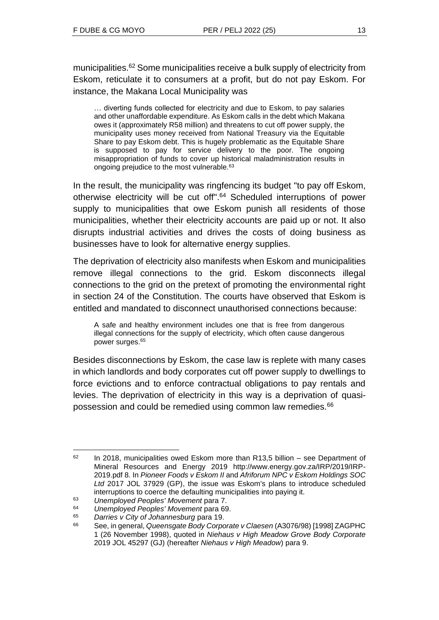municipalities.<sup>62</sup> Some municipalities receive a bulk supply of electricity from Eskom, reticulate it to consumers at a profit, but do not pay Eskom. For instance, the Makana Local Municipality was

… diverting funds collected for electricity and due to Eskom, to pay salaries and other unaffordable expenditure. As Eskom calls in the debt which Makana owes it (approximately R58 million) and threatens to cut off power supply, the municipality uses money received from National Treasury via the Equitable Share to pay Eskom debt. This is hugely problematic as the Equitable Share is supposed to pay for service delivery to the poor. The ongoing misappropriation of funds to cover up historical maladministration results in ongoing prejudice to the most vulnerable.<sup>63</sup>

In the result, the municipality was ringfencing its budget "to pay off Eskom, otherwise electricity will be cut off". <sup>64</sup> Scheduled interruptions of power supply to municipalities that owe Eskom punish all residents of those municipalities, whether their electricity accounts are paid up or not. It also disrupts industrial activities and drives the costs of doing business as businesses have to look for alternative energy supplies.

The deprivation of electricity also manifests when Eskom and municipalities remove illegal connections to the grid. Eskom disconnects illegal connections to the grid on the pretext of promoting the environmental right in section 24 of the Constitution. The courts have observed that Eskom is entitled and mandated to disconnect unauthorised connections because:

A safe and healthy environment includes one that is free from dangerous illegal connections for the supply of electricity, which often cause dangerous power surges.<sup>65</sup>

Besides disconnections by Eskom, the case law is replete with many cases in which landlords and body corporates cut off power supply to dwellings to force evictions and to enforce contractual obligations to pay rentals and levies. The deprivation of electricity in this way is a deprivation of quasipossession and could be remedied using common law remedies.<sup>66</sup>

 $62$  In 2018, municipalities owed Eskom more than R13,5 billion – see Department of Mineral Resources and Energy 2019 http://www.energy.gov.za/IRP/2019/IRP-2019.pdf 8. In *Pioneer Foods v Eskom II* and *Afriforum NPC v Eskom Holdings SOC Ltd* 2017 JOL 37929 (GP), the issue was Eskom's plans to introduce scheduled interruptions to coerce the defaulting municipalities into paying it.

<sup>63</sup> *Unemployed Peoples' Movement* para 7.

<sup>64</sup> *Unemployed Peoples' Movement* para 69.

<sup>65</sup> *Darries v City of Johannesburg* para 19.

<sup>66</sup> See, in general, *Queensgate Body Corporate v Claesen* (A3076/98) [1998] ZAGPHC 1 (26 November 1998), quoted in *Niehaus v High Meadow Grove Body Corporate*  2019 JOL 45297 (GJ) (hereafter *Niehaus v High Meadow*) para 9.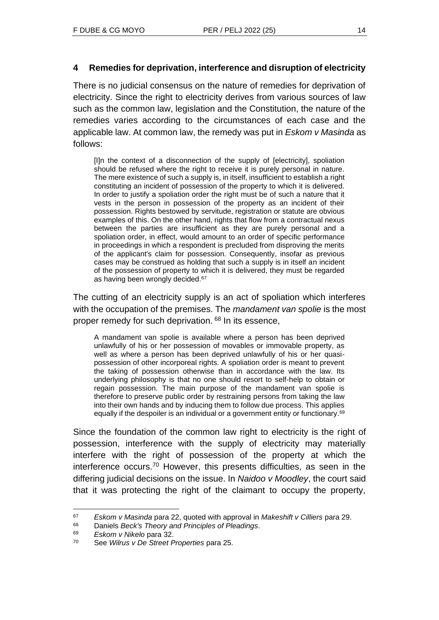### **4 Remedies for deprivation, interference and disruption of electricity**

There is no judicial consensus on the nature of remedies for deprivation of electricity. Since the right to electricity derives from various sources of law such as the common law, legislation and the Constitution, the nature of the remedies varies according to the circumstances of each case and the applicable law. At common law, the remedy was put in *Eskom v Masinda* as follows:

[I]n the context of a disconnection of the supply of [electricity], spoliation should be refused where the right to receive it is purely personal in nature. The mere existence of such a supply is, in itself, insufficient to establish a right constituting an incident of possession of the property to which it is delivered. In order to justify a spoliation order the right must be of such a nature that it vests in the person in possession of the property as an incident of their possession. Rights bestowed by servitude, registration or statute are obvious examples of this. On the other hand, rights that flow from a contractual nexus between the parties are insufficient as they are purely personal and a spoliation order, in effect, would amount to an order of specific performance in proceedings in which a respondent is precluded from disproving the merits of the applicant's claim for possession. Consequently, insofar as previous cases may be construed as holding that such a supply is in itself an incident of the possession of property to which it is delivered, they must be regarded as having been wrongly decided.<sup>67</sup>

The cutting of an electricity supply is an act of spoliation which interferes with the occupation of the premises. The *mandament van spolie* is the most proper remedy for such deprivation. <sup>68</sup> In its essence,

A mandament van spolie is available where a person has been deprived unlawfully of his or her possession of movables or immovable property, as well as where a person has been deprived unlawfully of his or her quasipossession of other incorporeal rights. A spoliation order is meant to prevent the taking of possession otherwise than in accordance with the law. Its underlying philosophy is that no one should resort to self-help to obtain or regain possession. The main purpose of the mandament van spolie is therefore to preserve public order by restraining persons from taking the law into their own hands and by inducing them to follow due process. This applies equally if the despoiler is an individual or a government entity or functionary.<sup>69</sup>

Since the foundation of the common law right to electricity is the right of possession, interference with the supply of electricity may materially interfere with the right of possession of the property at which the interference occurs.<sup>70</sup> However, this presents difficulties, as seen in the differing judicial decisions on the issue. In *Naidoo v Moodley*, the court said that it was protecting the right of the claimant to occupy the property,

<sup>67</sup> *Eskom v Masinda* para 22, quoted with approval in *Makeshift v Cilliers* para 29.

<sup>68</sup> Daniels *Beck's Theory and Principles of Pleadings*.

<sup>69</sup> *Eskom v Nikelo* para 32.

<sup>70</sup> See *Wilrus v De Street Properties* para 25.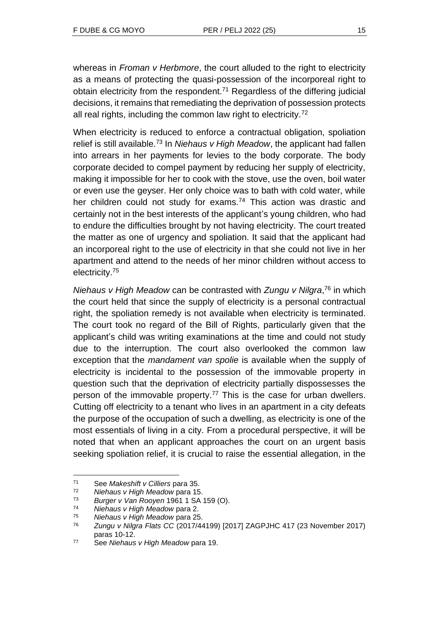whereas in *Froman v Herbmore*, the court alluded to the right to electricity as a means of protecting the quasi-possession of the incorporeal right to obtain electricity from the respondent.<sup>71</sup> Regardless of the differing judicial decisions, it remains that remediating the deprivation of possession protects all real rights, including the common law right to electricity.<sup>72</sup>

When electricity is reduced to enforce a contractual obligation, spoliation relief is still available.<sup>73</sup> In *Niehaus v High Meadow*, the applicant had fallen into arrears in her payments for levies to the body corporate. The body corporate decided to compel payment by reducing her supply of electricity, making it impossible for her to cook with the stove, use the oven, boil water or even use the geyser. Her only choice was to bath with cold water, while her children could not study for exams.<sup>74</sup> This action was drastic and certainly not in the best interests of the applicant's young children, who had to endure the difficulties brought by not having electricity. The court treated the matter as one of urgency and spoliation. It said that the applicant had an incorporeal right to the use of electricity in that she could not live in her apartment and attend to the needs of her minor children without access to electricity.<sup>75</sup>

*Niehaus v High Meadow* can be contrasted with *Zungu v Nilgra*, <sup>76</sup> in which the court held that since the supply of electricity is a personal contractual right, the spoliation remedy is not available when electricity is terminated. The court took no regard of the Bill of Rights, particularly given that the applicant's child was writing examinations at the time and could not study due to the interruption. The court also overlooked the common law exception that the *mandament van spolie* is available when the supply of electricity is incidental to the possession of the immovable property in question such that the deprivation of electricity partially dispossesses the person of the immovable property.<sup>77</sup> This is the case for urban dwellers. Cutting off electricity to a tenant who lives in an apartment in a city defeats the purpose of the occupation of such a dwelling, as electricity is one of the most essentials of living in a city. From a procedural perspective, it will be noted that when an applicant approaches the court on an urgent basis seeking spoliation relief, it is crucial to raise the essential allegation, in the

<sup>71</sup> See *Makeshift v Cilliers* para 35.

<sup>72</sup> *Niehaus v High Meadow* para 15.

<sup>73</sup> *Burger v Van Rooyen* 1961 1 SA 159 (O).

<sup>74</sup> *Niehaus v High Meadow* para 2.

<sup>75</sup> *Niehaus v High Meadow* para 25.

<sup>76</sup> *Zungu v Nilgra Flats CC* (2017/44199) [2017] ZAGPJHC 417 (23 November 2017) paras 10-12.

<sup>77</sup> See *Niehaus v High Meadow* para 19.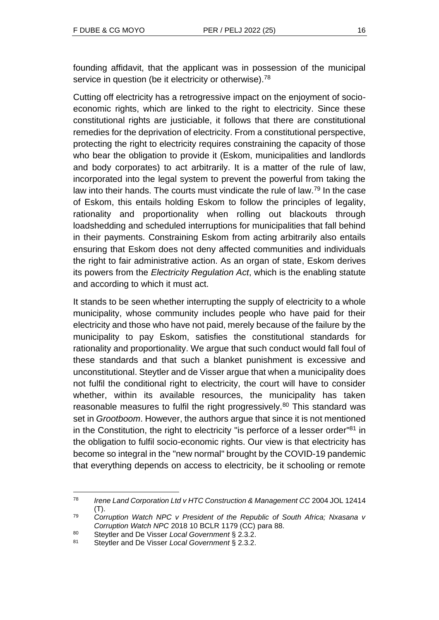founding affidavit, that the applicant was in possession of the municipal service in question (be it electricity or otherwise).<sup>78</sup>

Cutting off electricity has a retrogressive impact on the enjoyment of socioeconomic rights, which are linked to the right to electricity. Since these constitutional rights are justiciable, it follows that there are constitutional remedies for the deprivation of electricity. From a constitutional perspective, protecting the right to electricity requires constraining the capacity of those who bear the obligation to provide it (Eskom, municipalities and landlords and body corporates) to act arbitrarily. It is a matter of the rule of law, incorporated into the legal system to prevent the powerful from taking the law into their hands. The courts must vindicate the rule of law.<sup>79</sup> In the case of Eskom, this entails holding Eskom to follow the principles of legality, rationality and proportionality when rolling out blackouts through loadshedding and scheduled interruptions for municipalities that fall behind in their payments. Constraining Eskom from acting arbitrarily also entails ensuring that Eskom does not deny affected communities and individuals the right to fair administrative action. As an organ of state, Eskom derives its powers from the *Electricity Regulation Act*, which is the enabling statute and according to which it must act.

It stands to be seen whether interrupting the supply of electricity to a whole municipality, whose community includes people who have paid for their electricity and those who have not paid, merely because of the failure by the municipality to pay Eskom, satisfies the constitutional standards for rationality and proportionality. We argue that such conduct would fall foul of these standards and that such a blanket punishment is excessive and unconstitutional. Steytler and de Visser argue that when a municipality does not fulfil the conditional right to electricity, the court will have to consider whether, within its available resources, the municipality has taken reasonable measures to fulfil the right progressively.<sup>80</sup> This standard was set in *Grootboom*. However, the authors argue that since it is not mentioned in the Constitution, the right to electricity "is perforce of a lesser order"<sup>81</sup> in the obligation to fulfil socio-economic rights. Our view is that electricity has become so integral in the "new normal" brought by the COVID-19 pandemic that everything depends on access to electricity, be it schooling or remote

<sup>78</sup> *Irene Land Corporation Ltd v HTC Construction & Management CC* 2004 JOL 12414  $(T).$ 

<sup>79</sup> *Corruption Watch NPC v President of the Republic of South Africa; Nxasana v Corruption Watch NPC* 2018 10 BCLR 1179 (CC) para 88.

<sup>80</sup> Steytler and De Visser *Local Government* § 2.3.2.

<sup>81</sup> Steytler and De Visser *Local Government* § 2.3.2.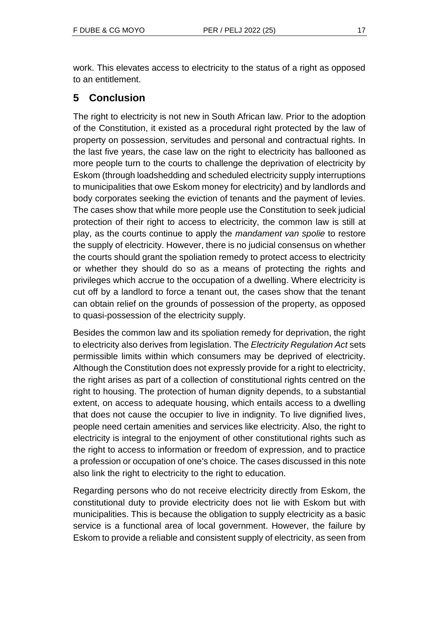work. This elevates access to electricity to the status of a right as opposed

# **5 Conclusion**

to an entitlement.

The right to electricity is not new in South African law. Prior to the adoption of the Constitution, it existed as a procedural right protected by the law of property on possession, servitudes and personal and contractual rights. In the last five years, the case law on the right to electricity has ballooned as more people turn to the courts to challenge the deprivation of electricity by Eskom (through loadshedding and scheduled electricity supply interruptions to municipalities that owe Eskom money for electricity) and by landlords and body corporates seeking the eviction of tenants and the payment of levies. The cases show that while more people use the Constitution to seek judicial protection of their right to access to electricity, the common law is still at play, as the courts continue to apply the *mandament van spolie* to restore the supply of electricity. However, there is no judicial consensus on whether the courts should grant the spoliation remedy to protect access to electricity or whether they should do so as a means of protecting the rights and privileges which accrue to the occupation of a dwelling. Where electricity is cut off by a landlord to force a tenant out, the cases show that the tenant can obtain relief on the grounds of possession of the property, as opposed to quasi-possession of the electricity supply.

Besides the common law and its spoliation remedy for deprivation, the right to electricity also derives from legislation. The *Electricity Regulation Act* sets permissible limits within which consumers may be deprived of electricity. Although the Constitution does not expressly provide for a right to electricity, the right arises as part of a collection of constitutional rights centred on the right to housing. The protection of human dignity depends, to a substantial extent, on access to adequate housing, which entails access to a dwelling that does not cause the occupier to live in indignity. To live dignified lives, people need certain amenities and services like electricity. Also, the right to electricity is integral to the enjoyment of other constitutional rights such as the right to access to information or freedom of expression, and to practice a profession or occupation of one's choice. The cases discussed in this note also link the right to electricity to the right to education.

Regarding persons who do not receive electricity directly from Eskom, the constitutional duty to provide electricity does not lie with Eskom but with municipalities. This is because the obligation to supply electricity as a basic service is a functional area of local government. However, the failure by Eskom to provide a reliable and consistent supply of electricity, as seen from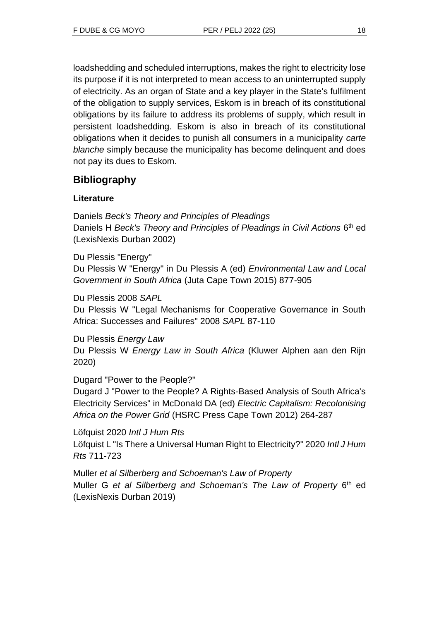loadshedding and scheduled interruptions, makes the right to electricity lose its purpose if it is not interpreted to mean access to an uninterrupted supply of electricity. As an organ of State and a key player in the State's fulfilment of the obligation to supply services, Eskom is in breach of its constitutional obligations by its failure to address its problems of supply, which result in persistent loadshedding. Eskom is also in breach of its constitutional obligations when it decides to punish all consumers in a municipality *carte blanche* simply because the municipality has become delinquent and does not pay its dues to Eskom.

# **Bibliography**

## **Literature**

Daniels *Beck's Theory and Principles of Pleadings* Daniels H Beck's Theory and Principles of Pleadings in Civil Actions 6<sup>th</sup> ed (LexisNexis Durban 2002)

Du Plessis "Energy"

Du Plessis W "Energy" in Du Plessis A (ed) *Environmental Law and Local Government in South Africa* (Juta Cape Town 2015) 877-905

Du Plessis 2008 *SAPL*

Du Plessis W "Legal Mechanisms for Cooperative Governance in South Africa: Successes and Failures" 2008 *SAPL* 87-110

Du Plessis *Energy Law* Du Plessis W *Energy Law in South Africa* (Kluwer Alphen aan den Rijn 2020)

Dugard "Power to the People?"

Dugard J "Power to the People? A Rights-Based Analysis of South Africa's Electricity Services" in McDonald DA (ed) *Electric Capitalism: Recolonising Africa on the Power Grid* (HSRC Press Cape Town 2012) 264-287

Löfquist 2020 *Intl J Hum Rts* Löfquist L "Is There a Universal Human Right to Electricity?" 2020 *Intl J Hum Rts* 711-723

Muller *et al Silberberg and Schoeman's Law of Property* Muller G et al Silberberg and Schoeman's The Law of Property 6<sup>th</sup> ed (LexisNexis Durban 2019)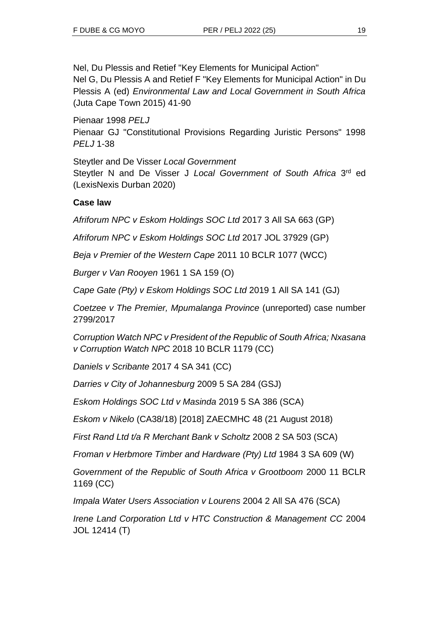Nel, Du Plessis and Retief "Key Elements for Municipal Action" Nel G, Du Plessis A and Retief F "Key Elements for Municipal Action" in Du Plessis A (ed) *Environmental Law and Local Government in South Africa* (Juta Cape Town 2015) 41-90

Pienaar 1998 *PELJ* Pienaar GJ "Constitutional Provisions Regarding Juristic Persons" 1998 *PELJ* 1-38

Steytler and De Visser *Local Government* Steytler N and De Visser J Local Government of South Africa 3<sup>rd</sup> ed (LexisNexis Durban 2020)

### **Case law**

*Afriforum NPC v Eskom Holdings SOC Ltd* 2017 3 All SA 663 (GP)

*Afriforum NPC v Eskom Holdings SOC Ltd* 2017 JOL 37929 (GP)

*Beja v Premier of the Western Cape* 2011 10 BCLR 1077 (WCC)

*Burger v Van Rooyen* 1961 1 SA 159 (O)

*Cape Gate (Pty) v Eskom Holdings SOC Ltd* 2019 1 All SA 141 (GJ)

*Coetzee v The Premier, Mpumalanga Province* (unreported) case number 2799/2017

*Corruption Watch NPC v President of the Republic of South Africa; Nxasana v Corruption Watch NPC* 2018 10 BCLR 1179 (CC)

*Daniels v Scribante* 2017 4 SA 341 (CC)

*Darries v City of Johannesburg* 2009 5 SA 284 (GSJ)

*Eskom Holdings SOC Ltd v Masinda* 2019 5 SA 386 (SCA)

*Eskom v Nikelo* (CA38/18) [2018] ZAECMHC 48 (21 August 2018)

*First Rand Ltd t/a R Merchant Bank v Scholtz* 2008 2 SA 503 (SCA)

*Froman v Herbmore Timber and Hardware (Pty) Ltd* 1984 3 SA 609 (W)

*Government of the Republic of South Africa v Grootboom* 2000 11 BCLR 1169 (CC)

*Impala Water Users Association v Lourens* 2004 2 All SA 476 (SCA)

*Irene Land Corporation Ltd v HTC Construction & Management CC* 2004 JOL 12414 (T)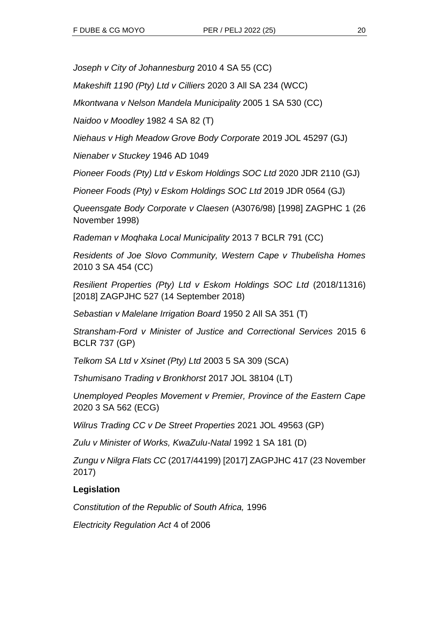*Joseph v City of Johannesburg* 2010 4 SA 55 (CC)

*Makeshift 1190 (Pty) Ltd v Cilliers* 2020 3 All SA 234 (WCC)

*Mkontwana v Nelson Mandela Municipality* 2005 1 SA 530 (CC)

*Naidoo v Moodley* 1982 4 SA 82 (T)

*Niehaus v High Meadow Grove Body Corporate* 2019 JOL 45297 (GJ)

*Nienaber v Stuckey* 1946 AD 1049

*Pioneer Foods (Pty) Ltd v Eskom Holdings SOC Ltd* 2020 JDR 2110 (GJ)

*Pioneer Foods (Pty) v Eskom Holdings SOC Ltd* 2019 JDR 0564 (GJ)

*Queensgate Body Corporate v Claesen* (A3076/98) [1998] ZAGPHC 1 (26 November 1998)

*Rademan v Moqhaka Local Municipality* 2013 7 BCLR 791 (CC)

*Residents of Joe Slovo Community, Western Cape v Thubelisha Homes* 2010 3 SA 454 (CC)

*Resilient Properties (Pty) Ltd v Eskom Holdings SOC Ltd* (2018/11316) [2018] ZAGPJHC 527 (14 September 2018)

*Sebastian v Malelane Irrigation Board* 1950 2 All SA 351 (T)

*Stransham-Ford v Minister of Justice and Correctional Services* 2015 6 BCLR 737 (GP)

*Telkom SA Ltd v Xsinet (Pty) Ltd* 2003 5 SA 309 (SCA)

*Tshumisano Trading v Bronkhorst* 2017 JOL 38104 (LT)

*Unemployed Peoples Movement v Premier, Province of the Eastern Cape*  2020 3 SA 562 (ECG)

*Wilrus Trading CC v De Street Properties* 2021 JOL 49563 (GP)

*Zulu v Minister of Works, KwaZulu-Natal* 1992 1 SA 181 (D)

*Zungu v Nilgra Flats CC* (2017/44199) [2017] ZAGPJHC 417 (23 November 2017)

### **Legislation**

*Constitution of the Republic of South Africa,* 1996

*Electricity Regulation Act* 4 of 2006